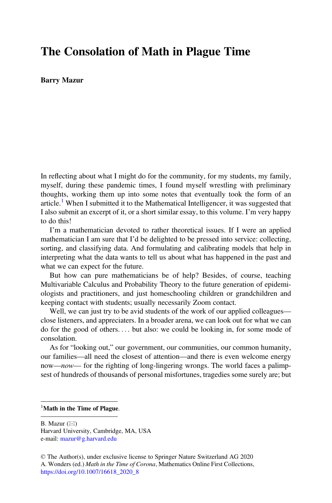## The Consolation of Math in Plague Time

Barry Mazur

In reflecting about what I might do for the community, for my students, my family, myself, during these pandemic times, I found myself wrestling with preliminary thoughts, working them up into some notes that eventually took the form of an article.<sup>[1](#page-0-0)</sup> When I submitted it to the Mathematical Intelligencer, it was suggested that I also submit an excerpt of it, or a short similar essay, to this volume. I'm very happy to do this!

I'm a mathematician devoted to rather theoretical issues. If I were an applied mathematician I am sure that I'd be delighted to be pressed into service: collecting, sorting, and classifying data. And formulating and calibrating models that help in interpreting what the data wants to tell us about what has happened in the past and what we can expect for the future.

But how can pure mathematicians be of help? Besides, of course, teaching Multivariable Calculus and Probability Theory to the future generation of epidemiologists and practitioners, and just homeschooling children or grandchildren and keeping contact with students; usually necessarily Zoom contact.

Well, we can just try to be avid students of the work of our applied colleagues close listeners, and appreciaters. In a broader arena, we can look out for what we can do for the good of others... . but also: we could be looking in, for some mode of consolation.

As for "looking out," our government, our communities, our common humanity, our families—all need the closest of attention—and there is even welcome energy now—now— for the righting of long-lingering wrongs. The world faces a palimpsest of hundreds of thousands of personal misfortunes, tragedies some surely are; but

## <span id="page-0-0"></span> $\frac{1}{1}$ Math in the Time of Plague.

B. Mazur  $(\boxtimes)$ 

Harvard University, Cambridge, MA, USA e-mail: [mazur@g.harvard.edu](mailto:mazur@g.harvard.edu)

<sup>©</sup> The Author(s), under exclusive license to Springer Nature Switzerland AG 2020 A. Wonders (ed.) Math in the Time of Corona, Mathematics Online First Collections, [https://doi.org/10.1007/16618\\_2020\\_8](https://doi.org/10.1007/16618_2020_8#DOI)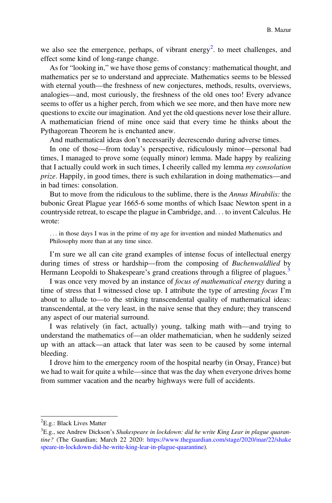we also see the emergence, perhaps, of vibrant energy<sup>[2](#page-1-0)</sup> to meet challenges, and effect some kind of long-range change.

As for "looking in," we have those gems of constancy: mathematical thought, and mathematics per se to understand and appreciate. Mathematics seems to be blessed with eternal youth—the freshness of new conjectures, methods, results, overviews, analogies—and, most curiously, the freshness of the old ones too! Every advance seems to offer us a higher perch, from which we see more, and then have more new questions to excite our imagination. And yet the old questions never lose their allure. A mathematician friend of mine once said that every time he thinks about the Pythagorean Theorem he is enchanted anew.

And mathematical ideas don't necessarily decrescendo during adverse times.

In one of those—from today's perspective, ridiculously minor—personal bad times, I managed to prove some (equally minor) lemma. Made happy by realizing that I actually could work in such times, I cheerily called my lemma my consolation prize. Happily, in good times, there is such exhilaration in doing mathematics—and in bad times: consolation.

But to move from the ridiculous to the sublime, there is the *Annus Mirabilis*: the bubonic Great Plague year 1665-6 some months of which Isaac Newton spent in a countryside retreat, to escape the plague in Cambridge, and... to invent Calculus. He wrote:

... in those days I was in the prime of my age for invention and minded Mathematics and Philosophy more than at any time since.

I'm sure we all can cite grand examples of intense focus of intellectual energy during times of stress or hardship—from the composing of Buchenwaldlied by Hermann Leopoldi to Shakespeare's grand creations through a filigree of plagues.<sup>[3](#page-1-1)</sup>

I was once very moved by an instance of *focus of mathematical energy* during a time of stress that I witnessed close up. I attribute the type of arresting focus I'm about to allude to—to the striking transcendental quality of mathematical ideas: transcendental, at the very least, in the naive sense that they endure; they transcend any aspect of our material surround.

I was relatively (in fact, actually) young, talking math with—and trying to understand the mathematics of—an older mathematician, when he suddenly seized up with an attack—an attack that later was seen to be caused by some internal bleeding.

I drove him to the emergency room of the hospital nearby (in Orsay, France) but we had to wait for quite a while—since that was the day when everyone drives home from summer vacation and the nearby highways were full of accidents.

<span id="page-1-0"></span><sup>&</sup>lt;sup>2</sup>E.g.: Black Lives Matter

<span id="page-1-1"></span> ${}^{3}E$ .g., see Andrew Dickson's Shakespeare in lockdown: did he write King Lear in plague quarantine? (The Guardian; March 22 2020: [https://www.theguardian.com/stage/2020/mar/22/shake](https://www.theguardian.com/stage/2020/mar/22/shakespeare-in-lockdown-did-he-write-king-lear-in-plague-quarantine) [speare-in-lockdown-did-he-write-king-lear-in-plague-quarantine\)](https://www.theguardian.com/stage/2020/mar/22/shakespeare-in-lockdown-did-he-write-king-lear-in-plague-quarantine).